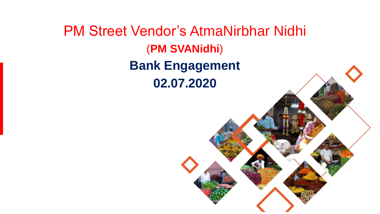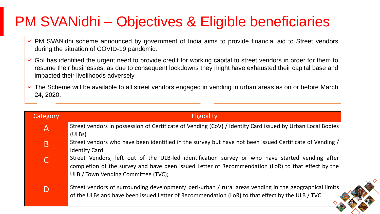# PM SVANidhi – Objectives & Eligible beneficiaries

- ✓ PM SVANidhi scheme announced by government of India aims to provide financial aid to Street vendors during the situation of COVID-19 pandemic.
- $\checkmark$  GoI has identified the urgent need to provide credit for working capital to street vendors in order for them to resume their businesses, as due to consequent lockdowns they might have exhausted their capital base and impacted their livelihoods adversely
- $\checkmark$  The Scheme will be available to all street vendors engaged in vending in urban areas as on or before March 24, 2020.

| Category | <b>Eligibility</b>                                                                                        |
|----------|-----------------------------------------------------------------------------------------------------------|
| Α        | Street vendors in possession of Certificate of Vending (CoV) / Identity Card issued by Urban Local Bodies |
|          | (ULBs)                                                                                                    |
| B        | Street vendors who have been identified in the survey but have not been issued Certificate of Vending /   |
|          | <b>Identity Card</b>                                                                                      |
|          | Street Vendors, left out of the ULB-led identification survey or who have started vending after           |
|          | completion of the survey and have been issued Letter of Recommendation (LoR) to that effect by the        |
|          | ULB / Town Vending Committee (TVC);                                                                       |
|          |                                                                                                           |
| D        | Street vendors of surrounding development/ peri-urban / rural areas vending in the geographical limits    |
|          | of the ULBs and have been issued Letter of Recommendation (LoR) to that effect by the ULB / TVC.          |
|          |                                                                                                           |

2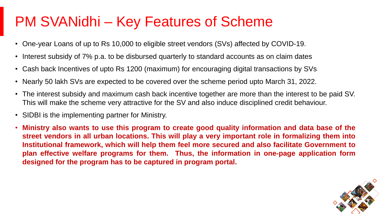# PM SVANidhi – Key Features of Scheme

- One-year Loans of up to Rs 10,000 to eligible street vendors (SVs) affected by COVID-19.
- Interest subsidy of 7% p.a. to be disbursed quarterly to standard accounts as on claim dates
- Cash back Incentives of upto Rs 1200 (maximum) for encouraging digital transactions by SVs
- Nearly 50 lakh SVs are expected to be covered over the scheme period upto March 31, 2022.
- The interest subsidy and maximum cash back incentive together are more than the interest to be paid SV. This will make the scheme very attractive for the SV and also induce disciplined credit behaviour.
- SIDBI is the implementing partner for Ministry.
- **Ministry also wants to use this program to create good quality information and data base of the street vendors in all urban locations. This will play a very important role in formalizing them into Institutional framework, which will help them feel more secured and also facilitate Government to plan effective welfare programs for them. Thus, the information in one-page application form designed for the program has to be captured in program portal.**

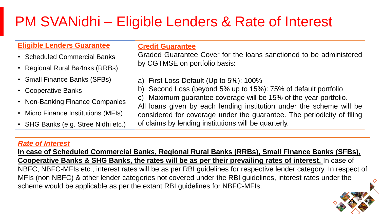# PM SVANidhi – Eligible Lenders & Rate of Interest

## **Eligible Lenders Guarantee**

- Scheduled Commercial Banks
- Regional Rural Ba4nks (RRBs)
- Small Finance Banks (SFBs)
- Cooperative Banks
- Non-Banking Finance Companies
- Micro Finance Institutions (MFIs)
- SHG Banks (e.g. Stree Nidhi etc.)

**Credit Guarantee**

Graded Guarantee Cover for the loans sanctioned to be administered by CGTMSE on portfolio basis:

- a) First Loss Default (Up to 5%): 100%
- b) Second Loss (beyond 5% up to 15%): 75% of default portfolio
- c) Maximum guarantee coverage will be 15% of the year portfolio.

All loans given by each lending institution under the scheme will be considered for coverage under the guarantee. The periodicity of filing of claims by lending institutions will be quarterly.

4

### *Rate of Interest*

**In case of Scheduled Commercial Banks, Regional Rural Banks (RRBs), Small Finance Banks (SFBs), Cooperative Banks & SHG Banks, the rates will be as per their prevailing rates of interest.** In case of NBFC, NBFC-MFIs etc., interest rates will be as per RBI guidelines for respective lender category. In respect of MFIs (non NBFC) & other lender categories not covered under the RBI guidelines, interest rates under the scheme would be applicable as per the extant RBI guidelines for NBFC-MFIs.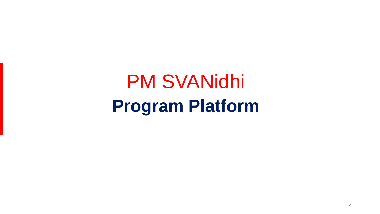PM SVANidhi **Program Platform**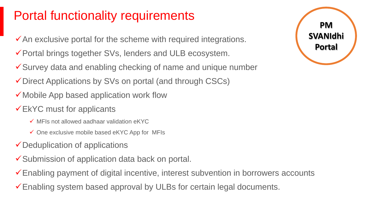## Portal functionality requirements

- $\checkmark$  An exclusive portal for the scheme with required integrations.
- ✓Portal brings together SVs, lenders and ULB ecosystem.
- ✓Survey data and enabling checking of name and unique number
- ✓Direct Applications by SVs on portal (and through CSCs)
- ✓Mobile App based application work flow
- $\checkmark$ EkYC must for applicants
	- $\checkmark$  MFIs not allowed aadhaar validation eKYC
	- $\checkmark$  One exclusive mobile based eKYC App for MFIs
- ✓Deduplication of applications
- ✓Submission of application data back on portal.
- ✓Enabling payment of digital incentive, interest subvention in borrowers accounts
- ✓Enabling system based approval by ULBs for certain legal documents.

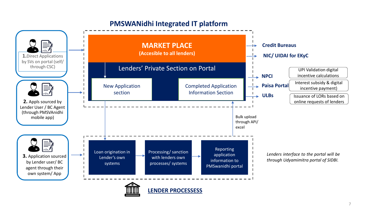## **PMSWANidhi Integrated IT platform**

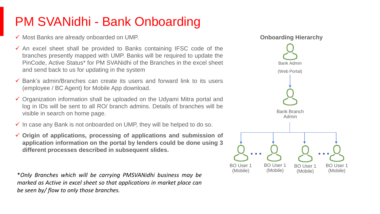## PM SVANidhi - Bank Onboarding

- ✓ Most Banks are already onboarded on UMP.
- $\checkmark$  An excel sheet shall be provided to Banks containing IFSC code of the branches presently mapped with UMP. Banks will be required to update the PinCode, Active Status\* for PM SVANidhi of the Branches in the excel sheet and send back to us for updating in the system
- $\checkmark$  Bank's admin/Branches can create its users and forward link to its users (employee / BC Agent) for Mobile App download.
- ✓ Organization information shall be uploaded on the Udyami Mitra portal and log in IDs will be sent to all RO/ branch admins. Details of branches will be visible in search on home page.
- $\checkmark$  In case any Bank is not onboarded on UMP, they will be helped to do so.
- ✓ **Origin of applications, processing of applications and submission of application information on the portal by lenders could be done using 3 different processes described in subsequent slides.**

\**Only Branches which will be carrying PMSVANidhi business may be marked as Active in excel sheet so that applications in market place can be seen by/ flow to only those branches.*

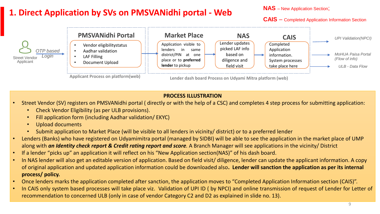## **1. Direct Application by SVs on PMSVANidhi portal - Web**

**NAS** – New Application Section;

**CAIS** – Completed Application Information Section



#### **PROCESS ILLUSTRATION**

- Street Vendor (SV) registers on PMSVANidhi portal ( directly or with the help of a CSC) and completes 4 step process for submitting application:
	- Check Vendor Eligibility (as per ULB provisions).
	- Fill application form (including Aadhar validation/ EKYC)
	- Upload documents
	- Submit application to Market Place (will be visible to all lenders in vicinity/ district) or to a preferred lender
- Lenders (Banks) who have registered on Udyamimitra portal (managed by SIDBI) will be able to see the application in the market place of UMP along with *an Identity check report & Credit rating report and score.* A Branch Manager will see applications in the vicinity/ District
- If a lender "picks up" an application it will reflect on his "New Application section(NAS)" of his dash board.
- In NAS lender will also get an editable version of application. Based on field visit/ diligence, lender can update the applicant information. A copy of original application and updated application information could be downloaded also**. Lender will sanction the application as per its internal process/ policy.**
- Once lenders marks the application completed after sanction, the application moves to "Completed Application Information section (CAIS)".
- In CAIS only system based processes will take place viz. Validation of UPI ID ( by NPCI) and online transmission of request of Lender for Letter of recommendation to concerned ULB (only in case of vendor Category C2 and D2 as explained in slide no. 13).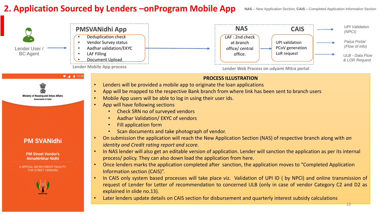## **2. Application Sourced by Lenders –onProgram Mobile App**

10



#### **PM SVANidhi**

**PM Street Vendor's AtmaNirbhar Nidhi** 

A SPECIAL MICRO-CREDIT FACILITY FOR STREET VENDORS



- On submission the application will reach the New Application Section (NAS) of respective branch along with *an identity and Credit rating report and score.*
- In NAS lender will also get an editable version of application. Lender will sanction the application as per its internal process/ policy. They can also down load the application from here.
- Once lenders marks the application completed after sanction, the application moves to "Completed Application Information section (CAIS)".
- In CAIS only system based processes will take place viz. Validation of UPI ID ( by NPCI) and online transmission of request of Lender for Letter of recommendation to concerned ULB (only in case of vendor Category C2 and D2 as explained in slide no.13).
- Later lenders update details on CAIS section for disbursement and quarterly interest subsidy calculations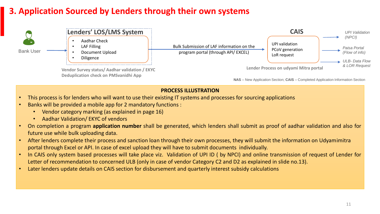## **3. Application Sourced by Lenders through their own systems**



#### **PROCESS ILLUSTRATION**

- This process is for lenders who will want to use their existing IT systems and processes for sourcing applications
- Banks will be provided a mobile app for 2 mandatory functions :
	- Vendor category marking (as explained in page 16)
	- Aadhar Validation/ EKYC of vendors
- On completion a program **application number** shall be generated, which lenders shall submit as proof of aadhar validation and also for future use while bulk uploading data.
- After lenders complete their process and sanction loan through their own processes, they will submit the information on Udyamimitra portal through Excel or API. In case of excel upload they will have to submit documents individually.
- In CAIS only system based processes will take place viz. Validation of UPI ID ( by NPCI) and online transmission of request of Lender for Letter of recommendation to concerned ULB (only in case of vendor Category C2 and D2 as explained in slide no.13).
- Later lenders update details on CAIS section for disbursement and quarterly interest subsidy calculations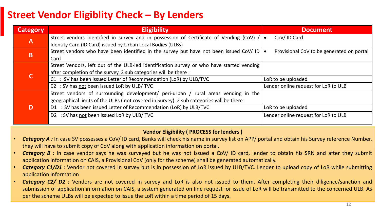## **Street Vendor Eligiblity Check – By Lenders**

| <b>Category</b> | <b>Eligibility</b>                                                                        | <b>Document</b>                                        |
|-----------------|-------------------------------------------------------------------------------------------|--------------------------------------------------------|
| $\mathsf{A}$    | Street vendors identified in survey and in possession of Certificate of Vending (CoV) /   | CoV/ID Card                                            |
|                 | Identity Card (ID Card) issued by Urban Local Bodies (ULBs)                               |                                                        |
| B               | Street vendors who have been identified in the survey but have not been issued CoV/ ID    | Provisional CoV to be generated on portal<br>$\bullet$ |
|                 | Card                                                                                      |                                                        |
|                 | Street Vendors, left out of the ULB-led identification survey or who have started vending |                                                        |
|                 | after completion of the survey. 2 sub categories will be there :                          |                                                        |
|                 | C1 : SV has been issued Letter of Recommendation (LoR) by ULB/TVC                         | LoR to be uploaded                                     |
|                 | C2 : SV has not been issued LoR by ULB/ TVC                                               | Lender online request for LoR to ULB                   |
|                 | Street vendors of surrounding development/ peri-urban / rural areas vending in the        |                                                        |
|                 | geographical limits of the ULBs (not covered in Survey). 2 sub categories will be there : |                                                        |
|                 | D1 : SV has been issued Letter of Recommendation (LoR) by ULB/TVC                         | LoR to be uploaded                                     |
|                 | D2 : SV has not been issued LoR by ULB/TVC                                                | Lender online request for LoR to ULB                   |
|                 |                                                                                           |                                                        |

#### **Vendor Eligibility ( PROCESS for lenders )**

- *Category A :* In case SV possesses a CoV/ ID card, Banks will check his name in survey list on APP/ portal and obtain his Survey reference Number. they will have to submit copy of CoV along with application information on portal.
- **Category B** : In case vendor says he was surveyed but he was not issued a CoV/ID card, lender to obtain his SRN and after they submit application information on CAIS, a Provisional CoV (only for the scheme) shall be generated automatically.
- *Category C1/D1* : Vendor not covered in survey but is in possession of LoR issued by ULB/TVC. Lender to upload copy of LoR while submitting application information
- **Category C2/ D2**: Vendors are not covered in survey and LoR is also not issued to them. After completing their diligence/sanction and submission of application information on CAIS, a system generated on line request for issue of LoR will be transmitted to the concerned ULB. As per the scheme ULBs will be expected to issue the LoR within a time period of 15 days.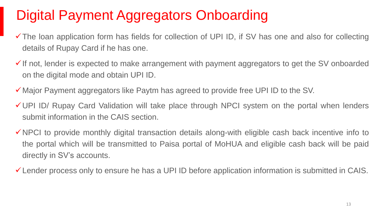# Digital Payment Aggregators Onboarding

- ✓The loan application form has fields for collection of UPI ID, if SV has one and also for collecting details of Rupay Card if he has one.
- $\checkmark$  If not, lender is expected to make arrangement with payment aggregators to get the SV onboarded on the digital mode and obtain UPI ID.
- ✓Major Payment aggregators like Paytm has agreed to provide free UPI ID to the SV.
- ✓UPI ID/ Rupay Card Validation will take place through NPCI system on the portal when lenders submit information in the CAIS section.
- ✓NPCI to provide monthly digital transaction details along-with eligible cash back incentive info to the portal which will be transmitted to Paisa portal of MoHUA and eligible cash back will be paid directly in SV's accounts.
- ✓Lender process only to ensure he has a UPI ID before application information is submitted in CAIS.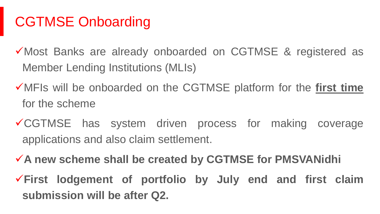# CGTMSE Onboarding

- ✓Most Banks are already onboarded on CGTMSE & registered as Member Lending Institutions (MLIs)
- ✓MFIs will be onboarded on the CGTMSE platform for the **first time** for the scheme
- ✓CGTMSE has system driven process for making coverage applications and also claim settlement.
- ✓**A new scheme shall be created by CGTMSE for PMSVANidhi** ✓**First lodgement of portfolio by July end and first claim submission will be after Q2.**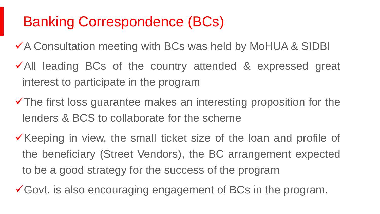## Banking Correspondence (BCs)

✓A Consultation meeting with BCs was held by MoHUA & SIDBI

- ✓All leading BCs of the country attended & expressed great interest to participate in the program
- ✓The first loss guarantee makes an interesting proposition for the lenders & BCS to collaborate for the scheme
- ✓Keeping in view, the small ticket size of the loan and profile of the beneficiary (Street Vendors), the BC arrangement expected to be a good strategy for the success of the program
- ✓Govt. is also encouraging engagement of BCs in the program.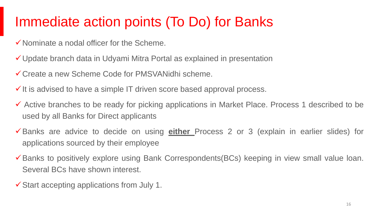## Immediate action points (To Do) for Banks

- $\checkmark$  Nominate a nodal officer for the Scheme.
- ✓Update branch data in Udyami Mitra Portal as explained in presentation
- ✓Create a new Scheme Code for PMSVANidhi scheme.
- $\checkmark$  It is advised to have a simple IT driven score based approval process.
- ✓ Active branches to be ready for picking applications in Market Place. Process 1 described to be used by all Banks for Direct applicants
- ✓Banks are advice to decide on using **either** Process 2 or 3 (explain in earlier slides) for applications sourced by their employee
- ✓Banks to positively explore using Bank Correspondents(BCs) keeping in view small value loan. Several BCs have shown interest.
- ✓Start accepting applications from July 1.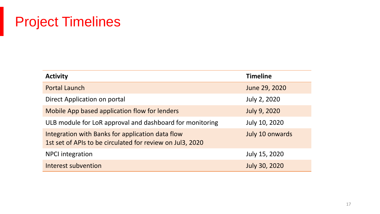## Project Timelines

| <b>Activity</b>                                                                                               | <b>Timeline</b>     |
|---------------------------------------------------------------------------------------------------------------|---------------------|
| Portal Launch                                                                                                 | June 29, 2020       |
| Direct Application on portal                                                                                  | July 2, 2020        |
| Mobile App based application flow for lenders                                                                 | <b>July 9, 2020</b> |
| ULB module for LoR approval and dashboard for monitoring                                                      | July 10, 2020       |
| Integration with Banks for application data flow<br>1st set of APIs to be circulated for review on Jul3, 2020 | July 10 onwards     |
| <b>NPCI</b> integration                                                                                       | July 15, 2020       |
| Interest subvention                                                                                           | July 30, 2020       |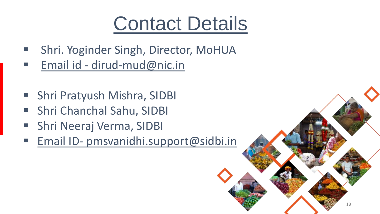# Contact Details

- Shri. Yoginder Singh, Director, MoHUA
- Email id dirud-mud@nic.in
- Shri Pratyush Mishra, SIDBI
- Shri Chanchal Sahu, SIDBI
- Shri Neeraj Verma, SIDBI
- Email ID- [pmsvanidhi.support@sidbi.in](mailto:pmsvanidhi.support@sidbi.in)